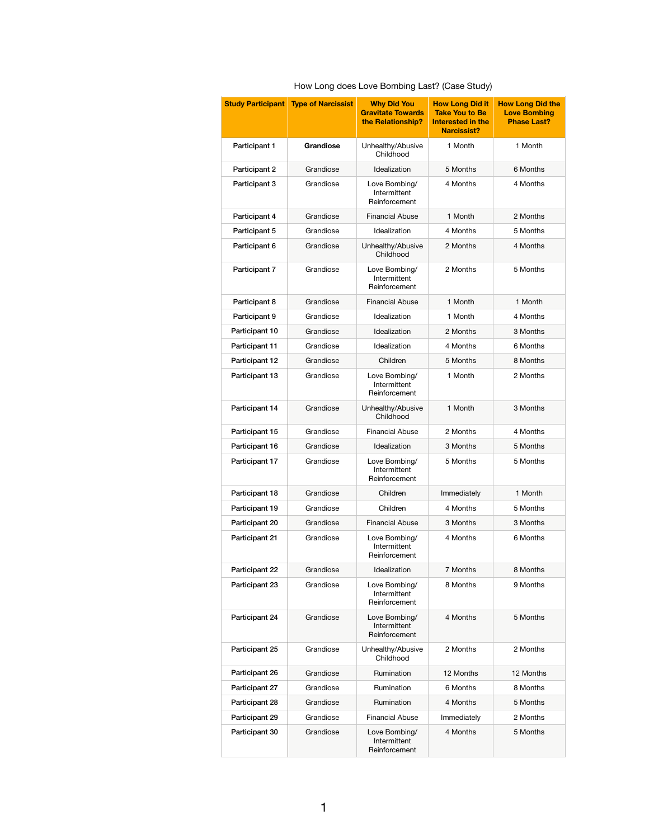How Long does Love Bombing Last? (Case Study)

| <b>Study Participant</b> | <b>Type of Narcissist</b> | <b>Why Did You</b><br><b>Gravitate Towards</b><br>the Relationship? | <b>How Long Did it</b><br><b>Take You to Be</b><br>Interested in the<br><b>Narcissist?</b> | <b>How Long Did the</b><br><b>Love Bombing</b><br><b>Phase Last?</b> |
|--------------------------|---------------------------|---------------------------------------------------------------------|--------------------------------------------------------------------------------------------|----------------------------------------------------------------------|
| Participant 1            | <b>Grandiose</b>          | Unhealthy/Abusive<br>Childhood                                      | 1 Month                                                                                    | 1 Month                                                              |
| Participant 2            | Grandiose                 | Idealization                                                        | 5 Months                                                                                   | 6 Months                                                             |
| Participant 3            | Grandiose                 | Love Bombing/<br>Intermittent<br>Reinforcement                      | 4 Months                                                                                   | 4 Months                                                             |
| Participant 4            | Grandiose                 | <b>Financial Abuse</b>                                              | 1 Month                                                                                    | 2 Months                                                             |
| Participant 5            | Grandiose                 | Idealization                                                        | 4 Months                                                                                   | 5 Months                                                             |
| Participant 6            | Grandiose                 | Unhealthy/Abusive<br>Childhood                                      | 2 Months                                                                                   | 4 Months                                                             |
| Participant 7            | Grandiose                 | Love Bombing/<br>Intermittent<br>Reinforcement                      | 2 Months                                                                                   | 5 Months                                                             |
| Participant 8            | Grandiose                 | <b>Financial Abuse</b>                                              | 1 Month                                                                                    | 1 Month                                                              |
| Participant 9            | Grandiose                 | Idealization                                                        | 1 Month                                                                                    | 4 Months                                                             |
| Participant 10           | Grandiose                 | Idealization                                                        | 2 Months                                                                                   | 3 Months                                                             |
| Participant 11           | Grandiose                 | Idealization                                                        | 4 Months                                                                                   | 6 Months                                                             |
| Participant 12           | Grandiose                 | Children                                                            | 5 Months                                                                                   | 8 Months                                                             |
| Participant 13           | Grandiose                 | Love Bombing/<br>Intermittent<br>Reinforcement                      | 1 Month                                                                                    | 2 Months                                                             |
| Participant 14           | Grandiose                 | Unhealthy/Abusive<br>Childhood                                      | 1 Month                                                                                    | 3 Months                                                             |
| Participant 15           | Grandiose                 | <b>Financial Abuse</b>                                              | 2 Months                                                                                   | 4 Months                                                             |
| Participant 16           | Grandiose                 | Idealization                                                        | 3 Months                                                                                   | 5 Months                                                             |
| Participant 17           | Grandiose                 | Love Bombing/<br>Intermittent<br>Reinforcement                      | 5 Months                                                                                   | 5 Months                                                             |
| Participant 18           | Grandiose                 | Children                                                            | Immediately                                                                                | 1 Month                                                              |
| Participant 19           | Grandiose                 | Children                                                            | 4 Months                                                                                   | 5 Months                                                             |
| Participant 20           | Grandiose                 | <b>Financial Abuse</b>                                              | 3 Months                                                                                   | 3 Months                                                             |
| Participant 21           | Grandiose                 | Love Bombing/<br>Intermittent<br>Reinforcement                      | 4 Months                                                                                   | 6 Months                                                             |
| Participant 22           | Grandiose                 | Idealization                                                        | 7 Months                                                                                   | 8 Months                                                             |
| Participant 23           | Grandiose                 | Love Bombing/<br>Intermittent<br>Reinforcement                      | 8 Months                                                                                   | 9 Months                                                             |
| Participant 24           | Grandiose                 | Love Bombing/<br>Intermittent<br>Reinforcement                      | 4 Months                                                                                   | 5 Months                                                             |
| Participant 25           | Grandiose                 | Unhealthy/Abusive<br>Childhood                                      | 2 Months                                                                                   | 2 Months                                                             |
| Participant 26           | Grandiose                 | Rumination                                                          | 12 Months                                                                                  | 12 Months                                                            |
| Participant 27           | Grandiose                 | Rumination                                                          | 6 Months                                                                                   | 8 Months                                                             |
| Participant 28           | Grandiose                 | Rumination                                                          | 4 Months                                                                                   | 5 Months                                                             |
| Participant 29           | Grandiose                 | <b>Financial Abuse</b>                                              | Immediately                                                                                | 2 Months                                                             |
| Participant 30           | Grandiose                 | Love Bombing/<br>Intermittent<br>Reinforcement                      | 4 Months                                                                                   | 5 Months                                                             |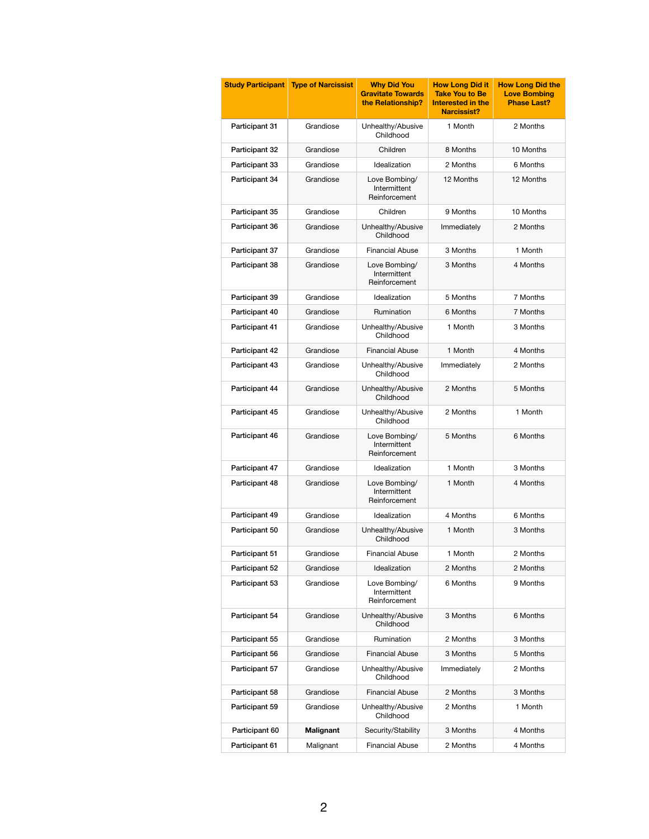| <b>Study Participant</b> | <b>Type of Narcissist</b> | <b>Why Did You</b><br><b>Gravitate Towards</b><br>the Relationship? | <b>How Long Did it</b><br><b>Take You to Be</b><br>Interested in the<br><b>Narcissist?</b> | <b>How Long Did the</b><br><b>Love Bombing</b><br><b>Phase Last?</b> |
|--------------------------|---------------------------|---------------------------------------------------------------------|--------------------------------------------------------------------------------------------|----------------------------------------------------------------------|
| Participant 31           | Grandiose                 | Unhealthy/Abusive<br>Childhood                                      | 1 Month                                                                                    | 2 Months                                                             |
| Participant 32           | Grandiose                 | Children                                                            | 8 Months                                                                                   | 10 Months                                                            |
| Participant 33           | Grandiose                 | Idealization                                                        | 2 Months                                                                                   | 6 Months                                                             |
| Participant 34           | Grandiose                 | Love Bombing/<br>Intermittent<br>Reinforcement                      | 12 Months                                                                                  | 12 Months                                                            |
| Participant 35           | Grandiose                 | Children                                                            | 9 Months                                                                                   | 10 Months                                                            |
| Participant 36           | Grandiose                 | Unhealthy/Abusive<br>Childhood                                      | Immediately                                                                                | 2 Months                                                             |
| Participant 37           | Grandiose                 | <b>Financial Abuse</b>                                              | 3 Months                                                                                   | 1 Month                                                              |
| Participant 38           | Grandiose                 | Love Bombing/<br>Intermittent<br>Reinforcement                      | 3 Months                                                                                   | 4 Months                                                             |
| Participant 39           | Grandiose                 | Idealization                                                        | 5 Months                                                                                   | 7 Months                                                             |
| Participant 40           | Grandiose                 | Rumination                                                          | 6 Months                                                                                   | 7 Months                                                             |
| Participant 41           | Grandiose                 | Unhealthy/Abusive<br>Childhood                                      | 1 Month                                                                                    | 3 Months                                                             |
| Participant 42           | Grandiose                 | <b>Financial Abuse</b>                                              | 1 Month                                                                                    | 4 Months                                                             |
| Participant 43           | Grandiose                 | Unhealthy/Abusive<br>Childhood                                      | Immediately                                                                                | 2 Months                                                             |
| Participant 44           | Grandiose                 | Unhealthy/Abusive<br>Childhood                                      | 2 Months                                                                                   | 5 Months                                                             |
| Participant 45           | Grandiose                 | Unhealthy/Abusive<br>Childhood                                      | 2 Months                                                                                   | 1 Month                                                              |
| Participant 46           | Grandiose                 | Love Bombing/<br>Intermittent<br>Reinforcement                      | 5 Months                                                                                   | 6 Months                                                             |
| Participant 47           | Grandiose                 | Idealization                                                        | 1 Month                                                                                    | 3 Months                                                             |
| Participant 48           | Grandiose                 | Love Bombing/<br>Intermittent<br>Reinforcement                      | 1 Month                                                                                    | 4 Months                                                             |
| Participant 49           | Grandiose                 | Idealization                                                        | 4 Months                                                                                   | 6 Months                                                             |
| Participant 50           | Grandiose                 | Unhealthy/Abusive<br>Childhood                                      | 1 Month                                                                                    | 3 Months                                                             |
| Participant 51           | Grandiose                 | <b>Financial Abuse</b>                                              | 1 Month                                                                                    | 2 Months                                                             |
| Participant 52           | Grandiose                 | Idealization                                                        | 2 Months                                                                                   | 2 Months                                                             |
| Participant 53           | Grandiose                 | Love Bombing/<br>Intermittent<br>Reinforcement                      | 6 Months                                                                                   | 9 Months                                                             |
| Participant 54           | Grandiose                 | Unhealthy/Abusive<br>Childhood                                      | 3 Months                                                                                   | 6 Months                                                             |
| Participant 55           | Grandiose                 | Rumination                                                          | 2 Months                                                                                   | 3 Months                                                             |
| Participant 56           | Grandiose                 | <b>Financial Abuse</b>                                              | 3 Months                                                                                   | 5 Months                                                             |
| Participant 57           | Grandiose                 | Unhealthy/Abusive<br>Childhood                                      | Immediately                                                                                | 2 Months                                                             |
| Participant 58           | Grandiose                 | <b>Financial Abuse</b>                                              | 2 Months                                                                                   | 3 Months                                                             |
| Participant 59           | Grandiose                 | Unhealthy/Abusive<br>Childhood                                      | 2 Months                                                                                   | 1 Month                                                              |
| Participant 60           | <b>Malignant</b>          | Security/Stability                                                  | 3 Months                                                                                   | 4 Months                                                             |
| Participant 61           | Malignant                 | <b>Financial Abuse</b>                                              | 2 Months                                                                                   | 4 Months                                                             |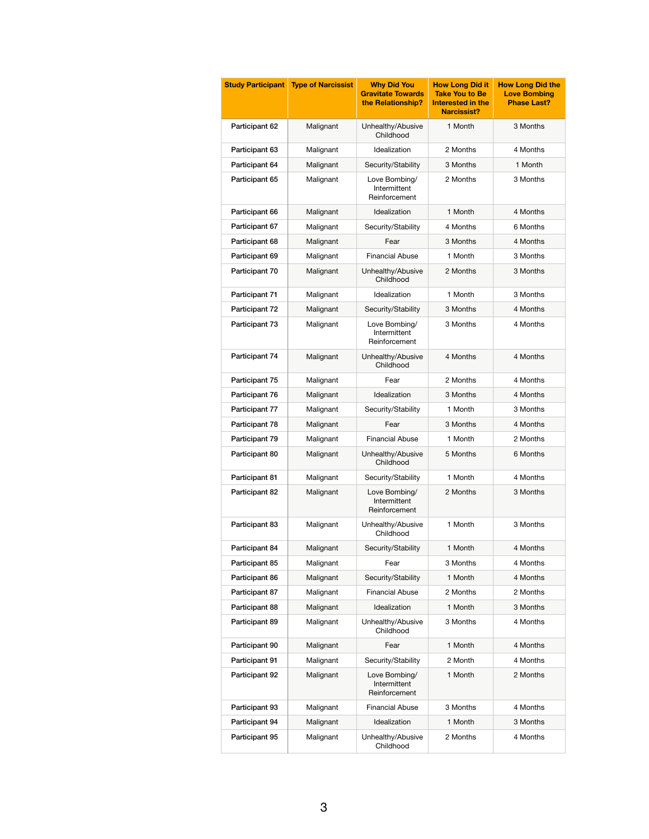| <b>Study Participant</b> | <b>Type of Narcissist</b> | <b>Why Did You</b><br><b>Gravitate Towards</b><br>the Relationship? | <b>How Long Did it</b><br><b>Take You to Be</b><br><b>Interested in the</b><br><b>Narcissist?</b> | <b>How Long Did the</b><br><b>Love Bombing</b><br><b>Phase Last?</b> |
|--------------------------|---------------------------|---------------------------------------------------------------------|---------------------------------------------------------------------------------------------------|----------------------------------------------------------------------|
| Participant 62           | Malignant                 | Unhealthy/Abusive<br>Childhood                                      | 1 Month                                                                                           | 3 Months                                                             |
| Participant 63           | Malignant                 | Idealization                                                        | 2 Months                                                                                          | 4 Months                                                             |
| Participant 64           | Malignant                 | Security/Stability                                                  | 3 Months                                                                                          | 1 Month                                                              |
| Participant 65           | Malignant                 | Love Bombing/<br>Intermittent<br>Reinforcement                      | 2 Months                                                                                          | 3 Months                                                             |
| Participant 66           | Malignant                 | Idealization                                                        | 1 Month                                                                                           | 4 Months                                                             |
| Participant 67           | Malignant                 | Security/Stability                                                  | 4 Months                                                                                          | 6 Months                                                             |
| Participant 68           | Malignant                 | Fear                                                                | 3 Months                                                                                          | 4 Months                                                             |
| Participant 69           | Malignant                 | <b>Financial Abuse</b>                                              | 1 Month                                                                                           | 3 Months                                                             |
| Participant 70           | Malignant                 | Unhealthy/Abusive<br>Childhood                                      | 2 Months                                                                                          | 3 Months                                                             |
| Participant 71           | Malignant                 | Idealization                                                        | 1 Month                                                                                           | 3 Months                                                             |
| Participant 72           | Malignant                 | Security/Stability                                                  | 3 Months                                                                                          | 4 Months                                                             |
| Participant 73           | Malignant                 | Love Bombing/<br>Intermittent<br>Reinforcement                      | 3 Months                                                                                          | 4 Months                                                             |
| Participant 74           | Malignant                 | Unhealthy/Abusive<br>Childhood                                      | 4 Months                                                                                          | 4 Months                                                             |
| Participant 75           | Malignant                 | Fear                                                                | 2 Months                                                                                          | 4 Months                                                             |
| Participant 76           | Malignant                 | Idealization                                                        | 3 Months                                                                                          | 4 Months                                                             |
| Participant 77           | Malignant                 | Security/Stability                                                  | 1 Month                                                                                           | 3 Months                                                             |
| Participant 78           | Malignant                 | Fear                                                                | 3 Months                                                                                          | 4 Months                                                             |
| Participant 79           | Malignant                 | <b>Financial Abuse</b>                                              | 1 Month                                                                                           | 2 Months                                                             |
| Participant 80           | Malignant                 | Unhealthy/Abusive<br>Childhood                                      | 5 Months                                                                                          | 6 Months                                                             |
| Participant 81           | Malignant                 | Security/Stability                                                  | 1 Month                                                                                           | 4 Months                                                             |
| Participant 82           | Malignant                 | Love Bombing/<br>Intermittent<br>Reinforcement                      | 2 Months                                                                                          | 3 Months                                                             |
| Participant 83           | Malignant                 | Unhealthy/Abusive<br>Childhood                                      | 1 Month                                                                                           | 3 Months                                                             |
| Participant 84           | Malignant                 | Security/Stability                                                  | 1 Month                                                                                           | 4 Months                                                             |
| Participant 85           | Malignant                 | Fear                                                                | 3 Months                                                                                          | 4 Months                                                             |
| Participant 86           | Malignant                 | Security/Stability                                                  | 1 Month                                                                                           | 4 Months                                                             |
| Participant 87           | Malignant                 | <b>Financial Abuse</b>                                              | 2 Months                                                                                          | 2 Months                                                             |
| Participant 88           | Malignant                 | Idealization                                                        | 1 Month                                                                                           | 3 Months                                                             |
| Participant 89           | Malignant                 | Unhealthy/Abusive<br>Childhood                                      | 3 Months                                                                                          | 4 Months                                                             |
| Participant 90           | Malignant                 | Fear                                                                | 1 Month                                                                                           | 4 Months                                                             |
| Participant 91           | Malignant                 | Security/Stability                                                  | 2 Month                                                                                           | 4 Months                                                             |
| Participant 92           | Malignant                 | Love Bombing/<br>Intermittent<br>Reinforcement                      | 1 Month                                                                                           | 2 Months                                                             |
| Participant 93           | Malignant                 | <b>Financial Abuse</b>                                              | 3 Months                                                                                          | 4 Months                                                             |
| Participant 94           | Malignant                 | Idealization                                                        | 1 Month                                                                                           | 3 Months                                                             |
| Participant 95           | Malignant                 | Unhealthy/Abusive<br>Childhood                                      | 2 Months                                                                                          | 4 Months                                                             |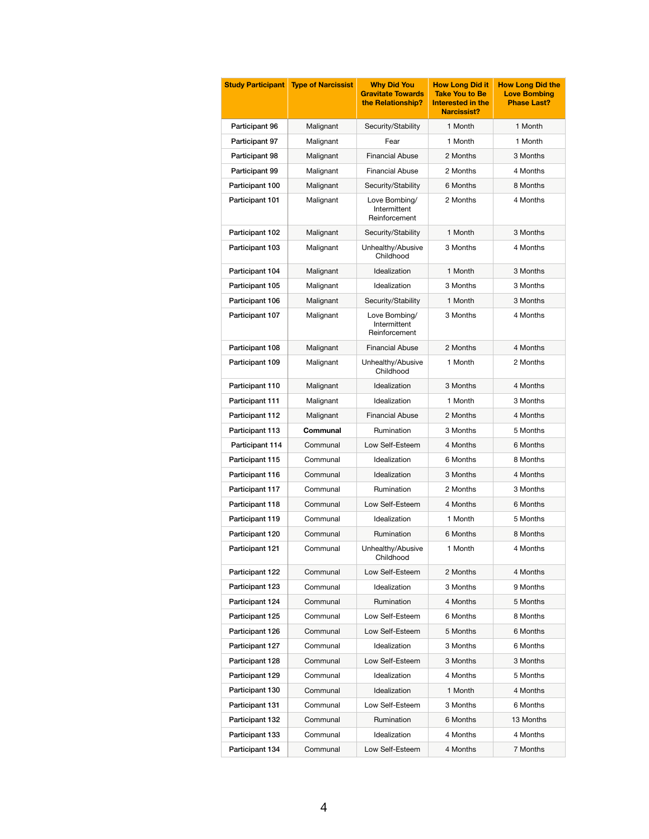| <b>Study Participant</b> | <b>Type of Narcissist</b> | <b>Why Did You</b><br><b>Gravitate Towards</b><br>the Relationship? | <b>How Long Did it</b><br><b>Take You to Be</b><br><b>Interested in the</b><br><b>Narcissist?</b> | <b>How Long Did the</b><br><b>Love Bombing</b><br><b>Phase Last?</b> |
|--------------------------|---------------------------|---------------------------------------------------------------------|---------------------------------------------------------------------------------------------------|----------------------------------------------------------------------|
| Participant 96           | Malignant                 | Security/Stability                                                  | 1 Month                                                                                           | 1 Month                                                              |
| Participant 97           | Malignant                 | Fear                                                                | 1 Month                                                                                           | 1 Month                                                              |
| Participant 98           | Malignant                 | <b>Financial Abuse</b>                                              | 2 Months                                                                                          | 3 Months                                                             |
| Participant 99           | Malignant                 | <b>Financial Abuse</b>                                              | 2 Months                                                                                          | 4 Months                                                             |
| Participant 100          | Malignant                 | Security/Stability                                                  | 6 Months                                                                                          | 8 Months                                                             |
| Participant 101          | Malignant                 | Love Bombing/<br>Intermittent<br>Reinforcement                      | 2 Months                                                                                          | 4 Months                                                             |
| Participant 102          | Malignant                 | Security/Stability                                                  | 1 Month                                                                                           | 3 Months                                                             |
| Participant 103          | Malignant                 | Unhealthy/Abusive<br>Childhood                                      | 3 Months                                                                                          | 4 Months                                                             |
| Participant 104          | Malignant                 | Idealization                                                        | 1 Month                                                                                           | 3 Months                                                             |
| Participant 105          | Malignant                 | Idealization                                                        | 3 Months                                                                                          | 3 Months                                                             |
| Participant 106          | Malignant                 | Security/Stability                                                  | 1 Month                                                                                           | 3 Months                                                             |
| Participant 107          | Malignant                 | Love Bombing/<br>Intermittent<br>Reinforcement                      | 3 Months                                                                                          | 4 Months                                                             |
| Participant 108          | Malignant                 | <b>Financial Abuse</b>                                              | 2 Months                                                                                          | 4 Months                                                             |
| Participant 109          | Malignant                 | Unhealthy/Abusive<br>Childhood                                      | 1 Month                                                                                           | 2 Months                                                             |
| Participant 110          | Malignant                 | Idealization                                                        | 3 Months                                                                                          | 4 Months                                                             |
| Participant 111          | Malignant                 | Idealization                                                        | 1 Month                                                                                           | 3 Months                                                             |
| Participant 112          | Malignant                 | <b>Financial Abuse</b>                                              | 2 Months                                                                                          | 4 Months                                                             |
| Participant 113          | <b>Communal</b>           | Rumination                                                          | 3 Months                                                                                          | 5 Months                                                             |
| Participant 114          | Communal                  | Low Self-Esteem                                                     | 4 Months                                                                                          | 6 Months                                                             |
| Participant 115          | Communal                  | Idealization                                                        | 6 Months                                                                                          | 8 Months                                                             |
| Participant 116          | Communal                  | Idealization                                                        | 3 Months                                                                                          | 4 Months                                                             |
| Participant 117          | Communal                  | Rumination                                                          | 2 Months                                                                                          | 3 Months                                                             |
| Participant 118          | Communal                  | Low Self-Esteem                                                     | 4 Months                                                                                          | 6 Months                                                             |
| Participant 119          | Communal                  | Idealization                                                        | 1 Month                                                                                           | 5 Months                                                             |
| Participant 120          | Communal                  | Rumination                                                          | 6 Months                                                                                          | 8 Months                                                             |
| Participant 121          | Communal                  | Unhealthy/Abusive<br>Childhood                                      | 1 Month                                                                                           | 4 Months                                                             |
| Participant 122          | Communal                  | Low Self-Esteem                                                     | 2 Months                                                                                          | 4 Months                                                             |
| Participant 123          | Communal                  | Idealization                                                        | 3 Months                                                                                          | 9 Months                                                             |
| Participant 124          | Communal                  | Rumination                                                          | 4 Months                                                                                          | 5 Months                                                             |
| Participant 125          | Communal                  | Low Self-Esteem                                                     | 6 Months                                                                                          | 8 Months                                                             |
| Participant 126          | Communal                  | Low Self-Esteem                                                     | 5 Months                                                                                          | 6 Months                                                             |
| Participant 127          | Communal                  | Idealization                                                        | 3 Months                                                                                          | 6 Months                                                             |
| Participant 128          | Communal                  | Low Self-Esteem                                                     | 3 Months                                                                                          | 3 Months                                                             |
| Participant 129          | Communal                  | Idealization                                                        | 4 Months                                                                                          | 5 Months                                                             |
| Participant 130          | Communal                  | Idealization                                                        | 1 Month                                                                                           | 4 Months                                                             |
| Participant 131          | Communal                  | Low Self-Esteem                                                     | 3 Months                                                                                          | 6 Months                                                             |
| Participant 132          | Communal                  | Rumination                                                          | 6 Months                                                                                          | 13 Months                                                            |
| Participant 133          | Communal                  | Idealization                                                        | 4 Months                                                                                          | 4 Months                                                             |
| Participant 134          | Communal                  | Low Self-Esteem                                                     | 4 Months                                                                                          | 7 Months                                                             |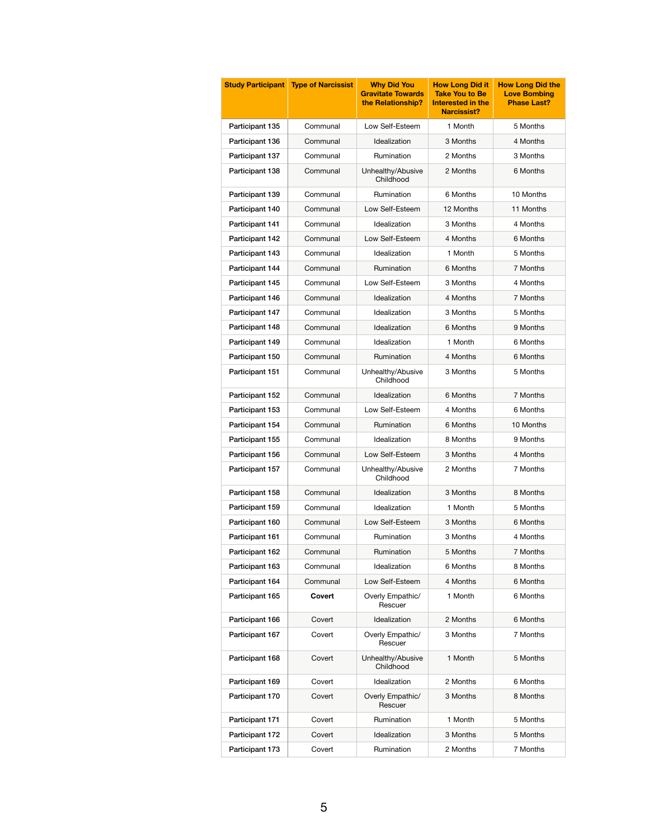| <b>Study Participant</b> | <b>Type of Narcissist</b> | <b>Why Did You</b><br><b>Gravitate Towards</b><br>the Relationship? | <b>How Long Did it</b><br><b>Take You to Be</b><br><b>Interested in the</b><br><b>Narcissist?</b> | <b>How Long Did the</b><br><b>Love Bombing</b><br><b>Phase Last?</b> |
|--------------------------|---------------------------|---------------------------------------------------------------------|---------------------------------------------------------------------------------------------------|----------------------------------------------------------------------|
| Participant 135          | Communal                  | Low Self-Esteem                                                     | 1 Month                                                                                           | 5 Months                                                             |
| Participant 136          | Communal                  | Idealization                                                        | 3 Months                                                                                          | 4 Months                                                             |
| Participant 137          | Communal                  | Rumination                                                          | 2 Months                                                                                          | 3 Months                                                             |
| Participant 138          | Communal                  | Unhealthy/Abusive<br>Childhood                                      | 2 Months                                                                                          | 6 Months                                                             |
| Participant 139          | Communal                  | Rumination                                                          | 6 Months                                                                                          | 10 Months                                                            |
| Participant 140          | Communal                  | Low Self-Esteem                                                     | 12 Months                                                                                         | 11 Months                                                            |
| Participant 141          | Communal                  | Idealization                                                        | 3 Months                                                                                          | 4 Months                                                             |
| Participant 142          | Communal                  | Low Self-Esteem                                                     | 4 Months                                                                                          | 6 Months                                                             |
| Participant 143          | Communal                  | Idealization                                                        | 1 Month                                                                                           | 5 Months                                                             |
| Participant 144          | Communal                  | Rumination                                                          | 6 Months                                                                                          | 7 Months                                                             |
| Participant 145          | Communal                  | Low Self-Esteem                                                     | 3 Months                                                                                          | 4 Months                                                             |
| Participant 146          | Communal                  | Idealization                                                        | 4 Months                                                                                          | 7 Months                                                             |
| Participant 147          | Communal                  | Idealization                                                        | 3 Months                                                                                          | 5 Months                                                             |
| Participant 148          | Communal                  | Idealization                                                        | 6 Months                                                                                          | 9 Months                                                             |
| Participant 149          | Communal                  | Idealization                                                        | 1 Month                                                                                           | 6 Months                                                             |
| Participant 150          | Communal                  | Rumination                                                          | 4 Months                                                                                          | 6 Months                                                             |
| Participant 151          | Communal                  | Unhealthy/Abusive<br>Childhood                                      | 3 Months                                                                                          | 5 Months                                                             |
| Participant 152          | Communal                  | Idealization                                                        | 6 Months                                                                                          | 7 Months                                                             |
| Participant 153          | Communal                  | Low Self-Esteem                                                     | 4 Months                                                                                          | 6 Months                                                             |
| Participant 154          | Communal                  | Rumination                                                          | 6 Months                                                                                          | 10 Months                                                            |
| Participant 155          | Communal                  | Idealization                                                        | 8 Months                                                                                          | 9 Months                                                             |
| Participant 156          | Communal                  | Low Self-Esteem                                                     | 3 Months                                                                                          | 4 Months                                                             |
| Participant 157          | Communal                  | Unhealthy/Abusive<br>Childhood                                      | 2 Months                                                                                          | 7 Months                                                             |
| Participant 158          | Communal                  | Idealization                                                        | 3 Months                                                                                          | 8 Months                                                             |
| Participant 159          | Communal                  | Idealization                                                        | 1 Month                                                                                           | 5 Months                                                             |
| Participant 160          | Communal                  | Low Self-Esteem                                                     | 3 Months                                                                                          | 6 Months                                                             |
| Participant 161          | Communal                  | Rumination                                                          | 3 Months                                                                                          | 4 Months                                                             |
| Participant 162          | Communal                  | Rumination                                                          | 5 Months                                                                                          | 7 Months                                                             |
| Participant 163          | Communal                  | Idealization                                                        | 6 Months                                                                                          | 8 Months                                                             |
| Participant 164          | Communal                  | Low Self-Esteem                                                     | 4 Months                                                                                          | 6 Months                                                             |
| Participant 165          | <b>Covert</b>             | Overly Empathic/<br>Rescuer                                         | 1 Month                                                                                           | 6 Months                                                             |
| Participant 166          | Covert                    | Idealization                                                        | 2 Months                                                                                          | 6 Months                                                             |
| Participant 167          | Covert                    | Overly Empathic/<br>Rescuer                                         | 3 Months                                                                                          | 7 Months                                                             |
| Participant 168          | Covert                    | Unhealthy/Abusive<br>Childhood                                      | 1 Month                                                                                           | 5 Months                                                             |
| Participant 169          | Covert                    | Idealization                                                        | 2 Months                                                                                          | 6 Months                                                             |
| Participant 170          | Covert                    | Overly Empathic/<br>Rescuer                                         | 3 Months                                                                                          | 8 Months                                                             |
| Participant 171          | Covert                    | Rumination                                                          | 1 Month                                                                                           | 5 Months                                                             |
| Participant 172          | Covert                    | Idealization                                                        | 3 Months                                                                                          | 5 Months                                                             |
| Participant 173          | Covert                    | Rumination                                                          | 2 Months                                                                                          | 7 Months                                                             |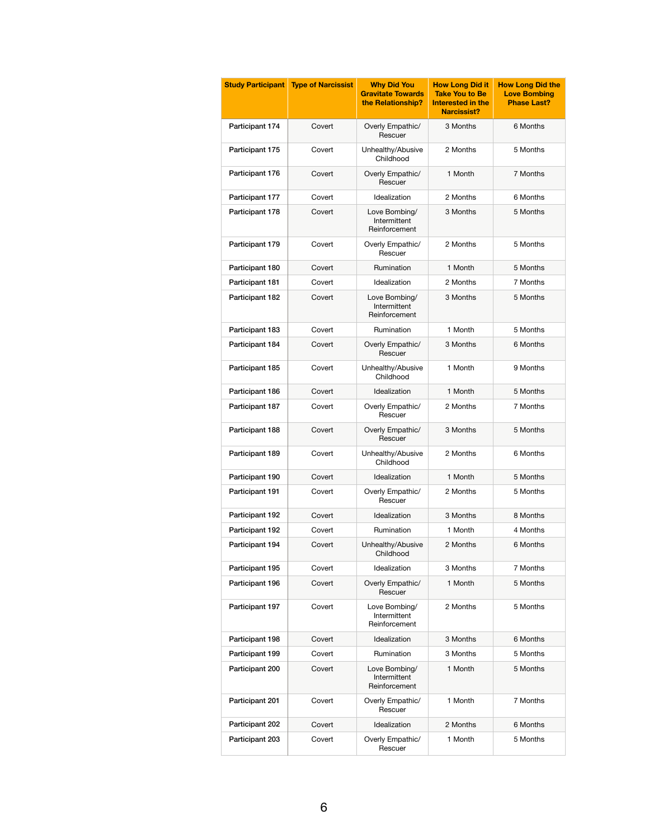| <b>Study Participant</b> | <b>Type of Narcissist</b> | <b>Why Did You</b><br><b>Gravitate Towards</b><br>the Relationship? | <b>How Long Did it</b><br><b>Take You to Be</b><br>Interested in the<br><b>Narcissist?</b> | <b>How Long Did the</b><br><b>Love Bombing</b><br><b>Phase Last?</b> |
|--------------------------|---------------------------|---------------------------------------------------------------------|--------------------------------------------------------------------------------------------|----------------------------------------------------------------------|
| Participant 174          | Covert                    | Overly Empathic/<br>Rescuer                                         | 3 Months                                                                                   | 6 Months                                                             |
| Participant 175          | Covert                    | Unhealthy/Abusive<br>Childhood                                      | 2 Months                                                                                   | 5 Months                                                             |
| Participant 176          | Covert                    | Overly Empathic/<br>Rescuer                                         | 1 Month                                                                                    | 7 Months                                                             |
| Participant 177          | Covert                    | Idealization                                                        | 2 Months                                                                                   | 6 Months                                                             |
| Participant 178          | Covert                    | Love Bombing/<br>Intermittent<br>Reinforcement                      | 3 Months                                                                                   | 5 Months                                                             |
| Participant 179          | Covert                    | Overly Empathic/<br>Rescuer                                         | 2 Months                                                                                   | 5 Months                                                             |
| Participant 180          | Covert                    | Rumination                                                          | 1 Month                                                                                    | 5 Months                                                             |
| Participant 181          | Covert                    | Idealization                                                        | 2 Months                                                                                   | 7 Months                                                             |
| Participant 182          | Covert                    | Love Bombing/<br>Intermittent<br>Reinforcement                      | 3 Months                                                                                   | 5 Months                                                             |
| Participant 183          | Covert                    | Rumination                                                          | 1 Month                                                                                    | 5 Months                                                             |
| Participant 184          | Covert                    | Overly Empathic/<br>Rescuer                                         | 3 Months                                                                                   | 6 Months                                                             |
| Participant 185          | Covert                    | Unhealthy/Abusive<br>Childhood                                      | 1 Month                                                                                    | 9 Months                                                             |
| Participant 186          | Covert                    | Idealization                                                        | 1 Month                                                                                    | 5 Months                                                             |
| Participant 187          | Covert                    | Overly Empathic/<br>Rescuer                                         | 2 Months                                                                                   | 7 Months                                                             |
| Participant 188          | Covert                    | Overly Empathic/<br>Rescuer                                         | 3 Months                                                                                   | 5 Months                                                             |
| Participant 189          | Covert                    | Unhealthy/Abusive<br>Childhood                                      | 2 Months                                                                                   | 6 Months                                                             |
| Participant 190          | Covert                    | Idealization                                                        | 1 Month                                                                                    | 5 Months                                                             |
| Participant 191          | Covert                    | Overly Empathic/<br>Rescuer                                         | 2 Months                                                                                   | 5 Months                                                             |
| Participant 192          | Covert                    | Idealization                                                        | 3 Months                                                                                   | 8 Months                                                             |
| Participant 192          | Covert                    | Rumination                                                          | 1 Month                                                                                    | 4 Months                                                             |
| Participant 194          | Covert                    | Unhealthy/Abusive<br>Childhood                                      | 2 Months                                                                                   | 6 Months                                                             |
| Participant 195          | Covert                    | Idealization                                                        | 3 Months                                                                                   | 7 Months                                                             |
| Participant 196          | Covert                    | Overly Empathic/<br>Rescuer                                         | 1 Month                                                                                    | 5 Months                                                             |
| Participant 197          | Covert                    | Love Bombing/<br>Intermittent<br>Reinforcement                      | 2 Months                                                                                   | 5 Months                                                             |
| Participant 198          | Covert                    | Idealization                                                        | 3 Months                                                                                   | 6 Months                                                             |
| Participant 199          | Covert                    | Rumination                                                          | 3 Months                                                                                   | 5 Months                                                             |
| Participant 200          | Covert                    | Love Bombing/<br>Intermittent<br>Reinforcement                      | 1 Month                                                                                    | 5 Months                                                             |
| Participant 201          | Covert                    | Overly Empathic/<br>Rescuer                                         | 1 Month                                                                                    | 7 Months                                                             |
| Participant 202          | Covert                    | Idealization                                                        | 2 Months                                                                                   | 6 Months                                                             |
| Participant 203          | Covert                    | Overly Empathic/<br>Rescuer                                         | 1 Month                                                                                    | 5 Months                                                             |